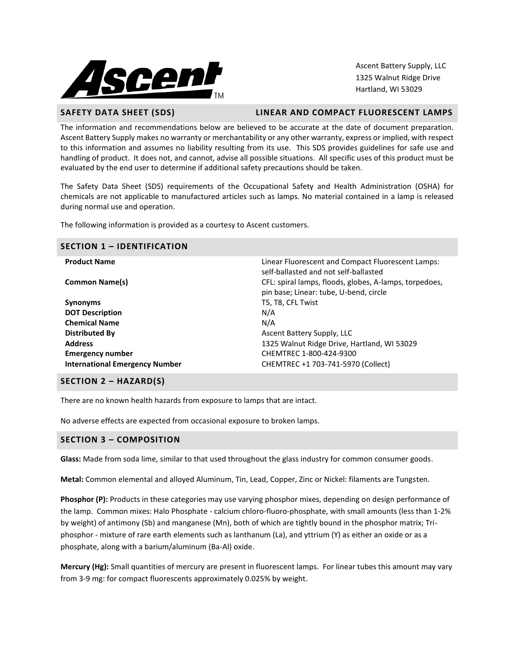

Ascent Battery Supply, LLC 1325 Walnut Ridge Drive Hartland, WI 53029

#### **SAFETY DATA SHEET (SDS) LINEAR AND COMPACT FLUORESCENT LAMPS**

The information and recommendations below are believed to be accurate at the date of document preparation. Ascent Battery Supply makes no warranty or merchantability or any other warranty, express or implied, with respect to this information and assumes no liability resulting from its use. This SDS provides guidelines for safe use and handling of product. It does not, and cannot, advise all possible situations. All specific uses of this product must be evaluated by the end user to determine if additional safety precautions should be taken.

The Safety Data Sheet (SDS) requirements of the Occupational Safety and Health Administration (OSHA) for chemicals are not applicable to manufactured articles such as lamps. No material contained in a lamp is released during normal use and operation.

The following information is provided as a courtesy to Ascent customers.

| <b>SECTION 1 - IDENTIFICATION</b>     |                                                                                                  |  |  |  |
|---------------------------------------|--------------------------------------------------------------------------------------------------|--|--|--|
| <b>Product Name</b>                   | Linear Fluorescent and Compact Fluorescent Lamps:<br>self-ballasted and not self-ballasted       |  |  |  |
| <b>Common Name(s)</b>                 | CFL: spiral lamps, floods, globes, A-lamps, torpedoes,<br>pin base; Linear: tube, U-bend, circle |  |  |  |
| <b>Synonyms</b>                       | T5, T8, CFL Twist                                                                                |  |  |  |
| <b>DOT Description</b>                | N/A                                                                                              |  |  |  |
| <b>Chemical Name</b>                  | N/A                                                                                              |  |  |  |
| Distributed By                        | Ascent Battery Supply, LLC                                                                       |  |  |  |
| <b>Address</b>                        | 1325 Walnut Ridge Drive, Hartland, WI 53029                                                      |  |  |  |
| <b>Emergency number</b>               | CHEMTREC 1-800-424-9300                                                                          |  |  |  |
| <b>International Emergency Number</b> | CHEMTREC +1 703-741-5970 (Collect)                                                               |  |  |  |

### **SECTION 2 – HAZARD(S)**

There are no known health hazards from exposure to lamps that are intact.

No adverse effects are expected from occasional exposure to broken lamps.

### **SECTION 3 – COMPOSITION**

**Glass:** Made from soda lime, similar to that used throughout the glass industry for common consumer goods.

**Metal:** Common elemental and alloyed Aluminum, Tin, Lead, Copper, Zinc or Nickel: filaments are Tungsten.

**Phosphor (P):** Products in these categories may use varying phosphor mixes, depending on design performance of the lamp. Common mixes: Halo Phosphate - calcium chloro-fluoro-phosphate, with small amounts (less than 1-2% by weight) of antimony (Sb) and manganese (Mn), both of which are tightly bound in the phosphor matrix; Triphosphor - mixture of rare earth elements such as lanthanum (La), and yttrium (Y) as either an oxide or as a phosphate, along with a barium/aluminum (Ba-Al) oxide.

**Mercury (Hg):** Small quantities of mercury are present in fluorescent lamps. For linear tubes this amount may vary from 3-9 mg: for compact fluorescents approximately 0.025% by weight.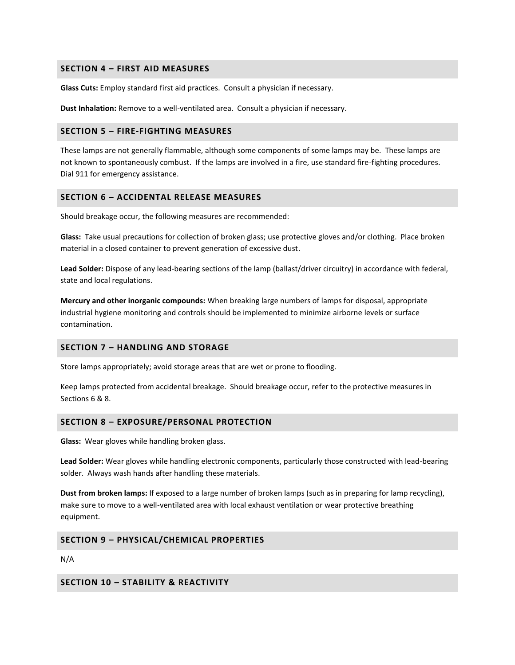## **SECTION 4 – FIRST AID MEASURES**

**Glass Cuts:** Employ standard first aid practices. Consult a physician if necessary.

**Dust Inhalation:** Remove to a well-ventilated area. Consult a physician if necessary.

## **SECTION 5 – FIRE-FIGHTING MEASURES**

These lamps are not generally flammable, although some components of some lamps may be. These lamps are not known to spontaneously combust. If the lamps are involved in a fire, use standard fire-fighting procedures. Dial 911 for emergency assistance.

### **SECTION 6 – ACCIDENTAL RELEASE MEASURES**

Should breakage occur, the following measures are recommended:

**Glass:** Take usual precautions for collection of broken glass; use protective gloves and/or clothing. Place broken material in a closed container to prevent generation of excessive dust.

**Lead Solder:** Dispose of any lead-bearing sections of the lamp (ballast/driver circuitry) in accordance with federal, state and local regulations.

**Mercury and other inorganic compounds:** When breaking large numbers of lamps for disposal, appropriate industrial hygiene monitoring and controls should be implemented to minimize airborne levels or surface contamination.

## **SECTION 7 – HANDLING AND STORAGE**

Store lamps appropriately; avoid storage areas that are wet or prone to flooding.

Keep lamps protected from accidental breakage. Should breakage occur, refer to the protective measures in Sections 6 & 8.

### **SECTION 8 – EXPOSURE/PERSONAL PROTECTION**

**Glass:** Wear gloves while handling broken glass.

**Lead Solder:** Wear gloves while handling electronic components, particularly those constructed with lead-bearing solder. Always wash hands after handling these materials.

**Dust from broken lamps:** If exposed to a large number of broken lamps (such as in preparing for lamp recycling), make sure to move to a well-ventilated area with local exhaust ventilation or wear protective breathing equipment.

## **SECTION 9 – PHYSICAL/CHEMICAL PROPERTIES**

N/A

## **SECTION 10 – STABILITY & REACTIVITY**